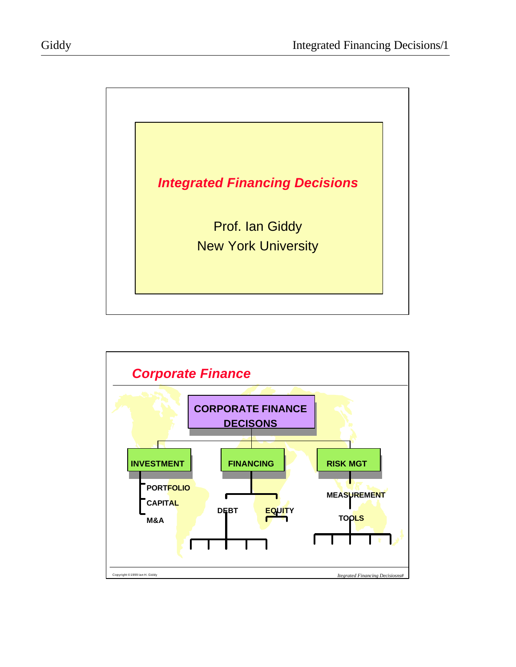

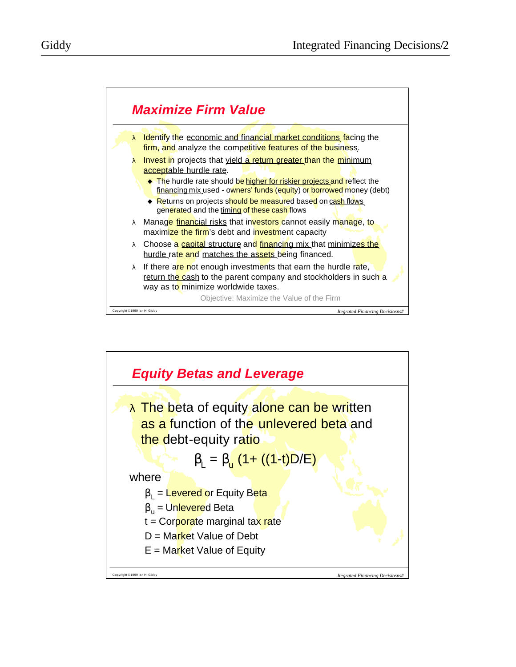

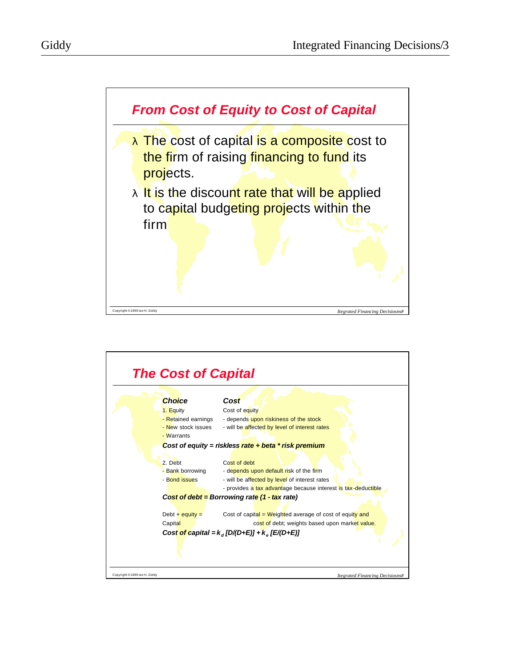



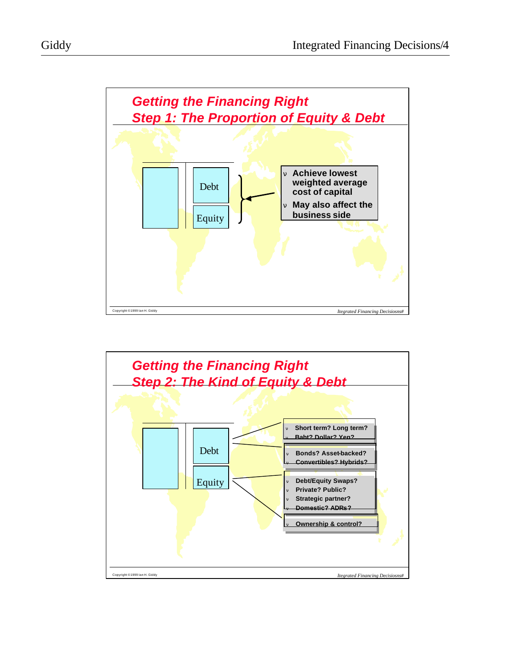



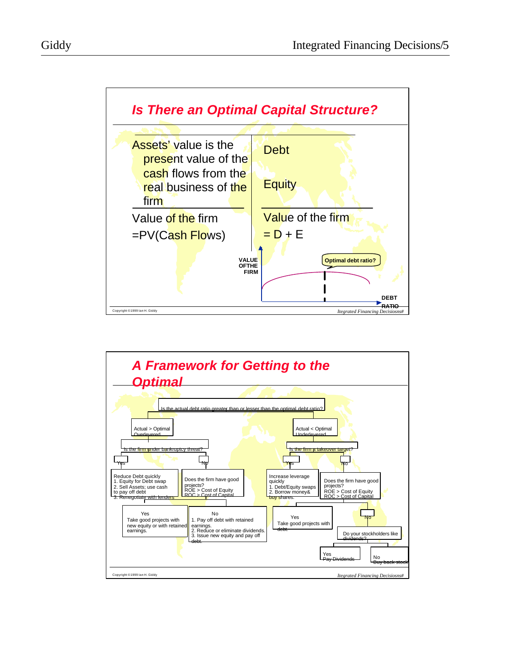

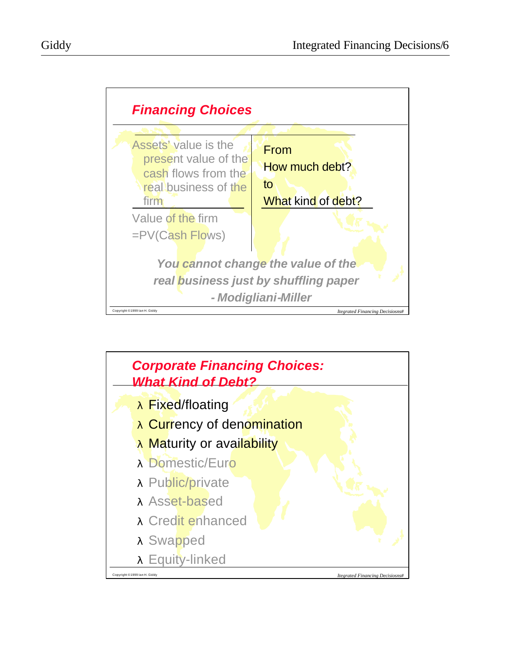

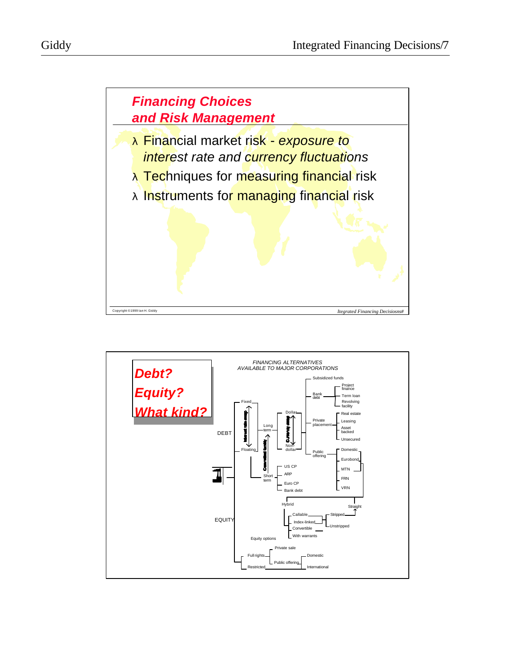



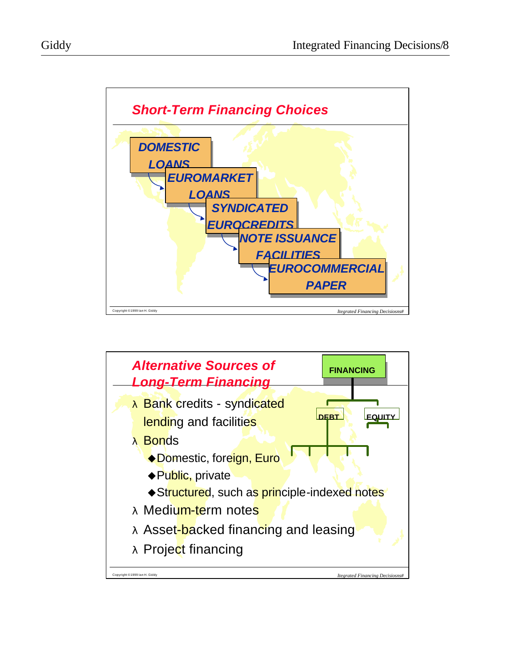

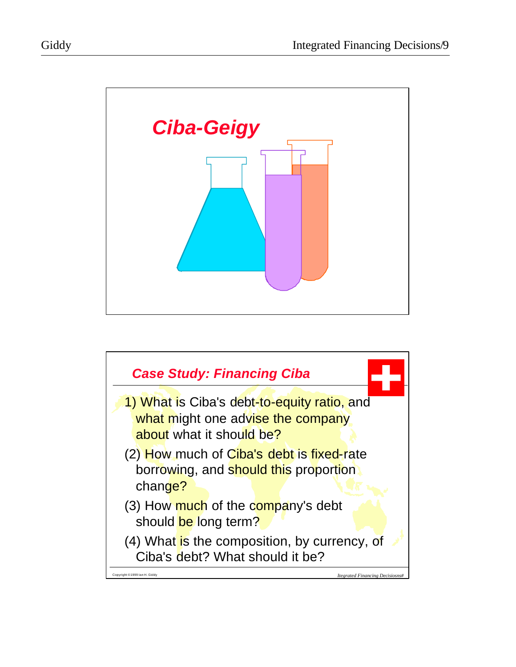

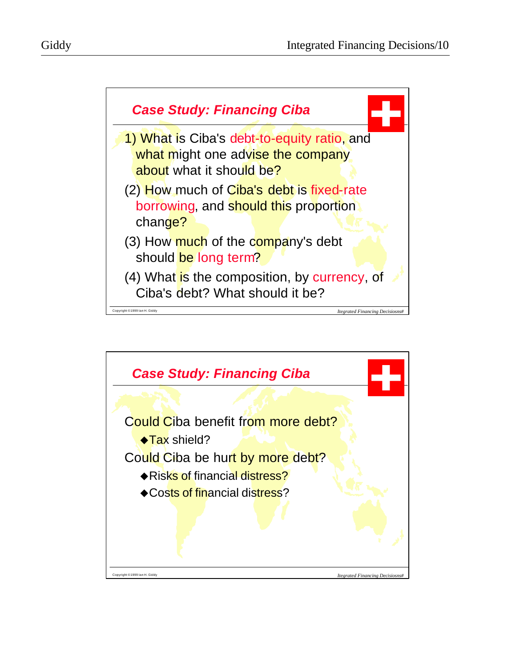



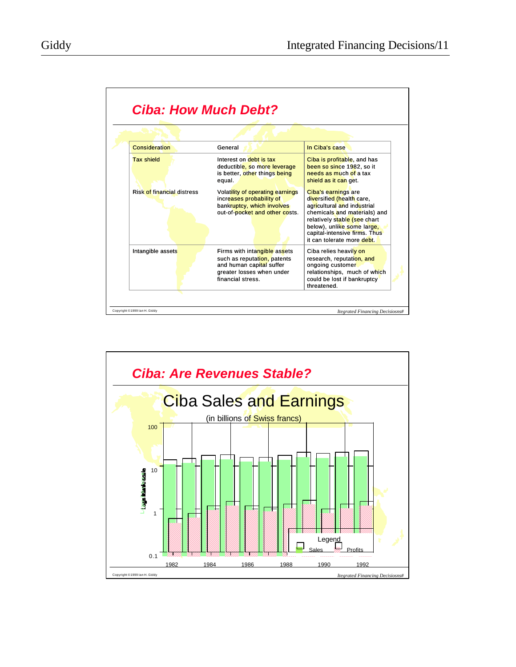| Consideration                     | General                                                                                                                                   | In Ciba's case                                                                                                                                                                                                                               |
|-----------------------------------|-------------------------------------------------------------------------------------------------------------------------------------------|----------------------------------------------------------------------------------------------------------------------------------------------------------------------------------------------------------------------------------------------|
| <b>Tax shield</b>                 | Interest on debt is tax<br>deductible, so more leverage<br>is better, other things being<br>equal.                                        | Ciba is profitable, and has<br>been so since 1982, so it<br>needs as much of a tax<br>shield as it can get.                                                                                                                                  |
| <b>Risk of financial distress</b> | Volatility of operating earnings<br>increases probability of<br>bankruptcy, which involves<br>out-of-pocket and other costs.              | Ciba's earnings are<br>diversified (health care,<br>agricultural and industrial<br>chemicals and materials) and<br>relatively stable (see chart<br>below), unlike some large,<br>capital-intensive firms. Thus<br>it can tolerate more debt. |
| Intangible assets                 | Firms with intangible assets<br>such as reputation, patents<br>and human capital suffer<br>greater losses when under<br>financial stress. | Ciba relies heavily on<br>research, reputation, and<br>ongoing customer<br>relationships, much of which<br>could be lost if bankruptcy<br>threatened                                                                                         |

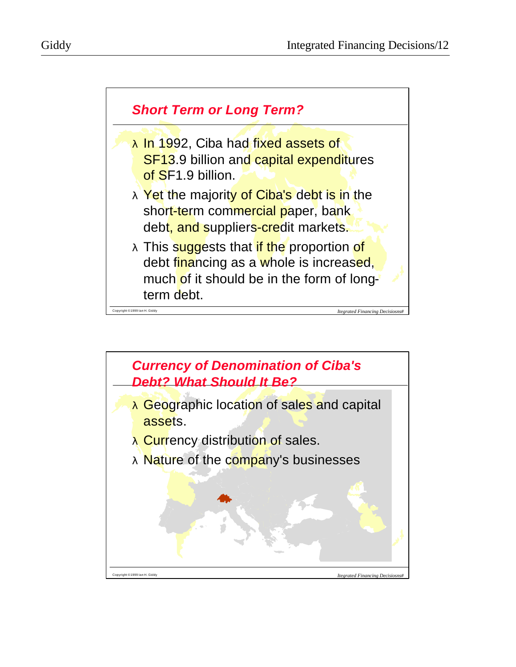

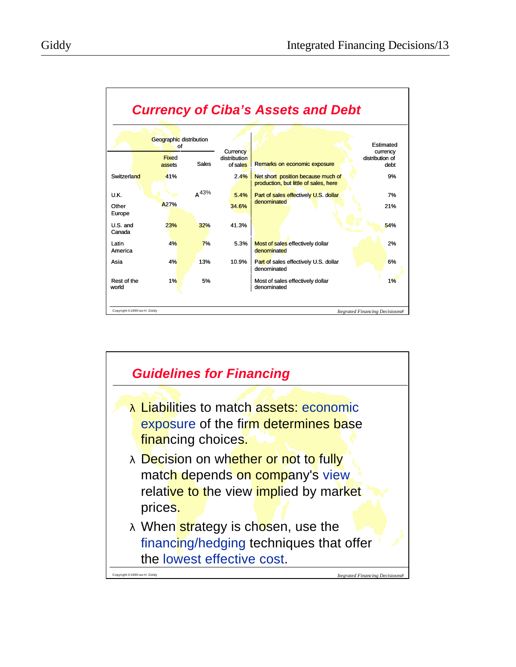